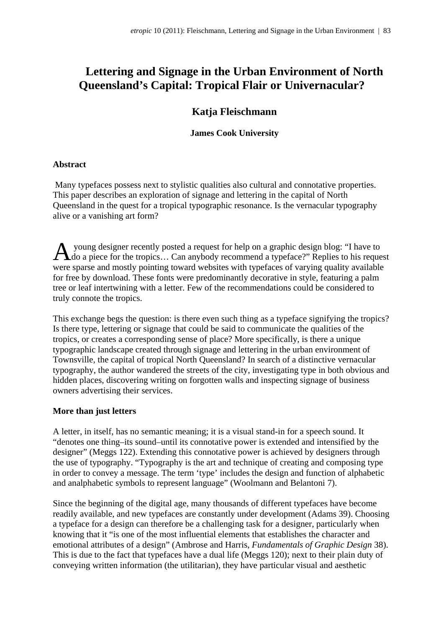# **Lettering and Signage in the Urban Environment of North Queensland's Capital: Tropical Flair or Univernacular?**

# **Katja Fleischmann**

## **James Cook University**

### **Abstract**

 Many typefaces possess next to stylistic qualities also cultural and connotative properties. This paper describes an exploration of signage and lettering in the capital of North Queensland in the quest for a tropical typographic resonance. Is the vernacular typography alive or a vanishing art form?

A young designer recently posted a request for help on a graphic design blog: "I have to do a piece for the tropics... Can anybody recommend a typeface?" Replies to his request do a piece for the tropics… Can anybody recommend a typeface?" Replies to his request were sparse and mostly pointing toward websites with typefaces of varying quality available for free by download. These fonts were predominantly decorative in style, featuring a palm tree or leaf intertwining with a letter. Few of the recommendations could be considered to truly connote the tropics.

This exchange begs the question: is there even such thing as a typeface signifying the tropics? Is there type, lettering or signage that could be said to communicate the qualities of the tropics, or creates a corresponding sense of place? More specifically, is there a unique typographic landscape created through signage and lettering in the urban environment of Townsville, the capital of tropical North Queensland? In search of a distinctive vernacular typography, the author wandered the streets of the city, investigating type in both obvious and hidden places, discovering writing on forgotten walls and inspecting signage of business owners advertising their services.

#### **More than just letters**

A letter, in itself, has no semantic meaning; it is a visual stand-in for a speech sound. It "denotes one thing–its sound–until its connotative power is extended and intensified by the designer" (Meggs 122). Extending this connotative power is achieved by designers through the use of typography. "Typography is the art and technique of creating and composing type in order to convey a message. The term 'type' includes the design and function of alphabetic and analphabetic symbols to represent language" (Woolmann and Belantoni 7).

Since the beginning of the digital age, many thousands of different typefaces have become readily available, and new typefaces are constantly under development (Adams 39). Choosing a typeface for a design can therefore be a challenging task for a designer, particularly when knowing that it "is one of the most influential elements that establishes the character and emotional attributes of a design" (Ambrose and Harris, *Fundamentals of Graphic Design* 38). This is due to the fact that typefaces have a dual life (Meggs 120); next to their plain duty of conveying written information (the utilitarian), they have particular visual and aesthetic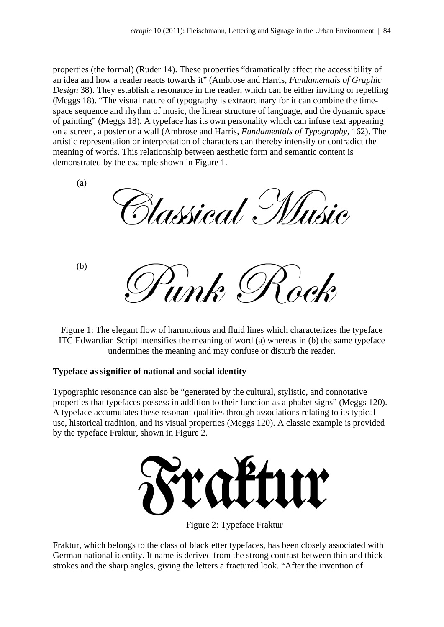properties (the formal) (Ruder 14). These properties "dramatically affect the accessibility of an idea and how a reader reacts towards it" (Ambrose and Harris, *Fundamentals of Graphic Design* 38). They establish a resonance in the reader, which can be either inviting or repelling (Meggs 18). "The visual nature of typography is extraordinary for it can combine the timespace sequence and rhythm of music, the linear structure of language, and the dynamic space of painting" (Meggs 18). A typeface has its own personality which can infuse text appearing on a screen, a poster or a wall (Ambrose and Harris, *Fundamentals of Typography*, 162). The artistic representation or interpretation of characters can thereby intensify or contradict the meaning of words. This relationship between aesthetic form and semantic content is demonstrated by the example shown in Figure 1.

(a) *lassical*. (b) )<br>unk  $\mathcal{U}$ 

Figure 1: The elegant flow of harmonious and fluid lines which characterizes the typeface ITC Edwardian Script intensifies the meaning of word (a) whereas in (b) the same typeface undermines the meaning and may confuse or disturb the reader.

## **Typeface as signifier of national and social identity**

Typographic resonance can also be "generated by the cultural, stylistic, and connotative properties that typefaces possess in addition to their function as alphabet signs" (Meggs 120). A typeface accumulates these resonant qualities through associations relating to its typical use, historical tradition, and its visual properties (Meggs 120). A classic example is provided by the typeface Fraktur, shown in Figure 2.



Figure 2: Typeface Fraktur

Fraktur, which belongs to the class of blackletter typefaces, has been closely associated with German national identity. It name is derived from the strong contrast between thin and thick strokes and the sharp angles, giving the letters a fractured look. "After the invention of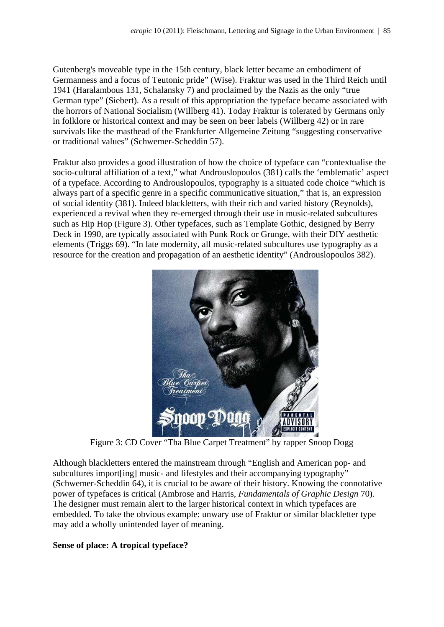Gutenberg's moveable type in the 15th century, black letter became an embodiment of Germanness and a focus of Teutonic pride" (Wise). Fraktur was used in the Third Reich until 1941 (Haralambous 131, Schalansky 7) and proclaimed by the Nazis as the only "true German type" (Siebert). As a result of this appropriation the typeface became associated with the horrors of National Socialism (Willberg 41). Today Fraktur is tolerated by Germans only in folklore or historical context and may be seen on beer labels (Willberg 42) or in rare survivals like the masthead of the Frankfurter Allgemeine Zeitung "suggesting conservative or traditional values" (Schwemer-Scheddin 57).

Fraktur also provides a good illustration of how the choice of typeface can "contextualise the socio-cultural affiliation of a text," what Androuslopoulos (381) calls the 'emblematic' aspect of a typeface. According to Androuslopoulos, typography is a situated code choice "which is always part of a specific genre in a specific communicative situation," that is, an expression of social identity (381). Indeed blackletters, with their rich and varied history (Reynolds), experienced a revival when they re-emerged through their use in music-related subcultures such as Hip Hop (Figure 3). Other typefaces, such as Template Gothic, designed by Berry Deck in 1990, are typically associated with Punk Rock or Grunge, with their DIY aesthetic elements (Triggs 69). "In late modernity, all music-related subcultures use typography as a resource for the creation and propagation of an aesthetic identity" (Androuslopoulos 382).



Figure 3: CD Cover "Tha Blue Carpet Treatment" by rapper Snoop Dogg

Although blackletters entered the mainstream through "English and American pop- and subcultures import[ing] music- and lifestyles and their accompanying typography" (Schwemer-Scheddin 64), it is crucial to be aware of their history. Knowing the connotative power of typefaces is critical (Ambrose and Harris, *Fundamentals of Graphic Design* 70). The designer must remain alert to the larger historical context in which typefaces are embedded. To take the obvious example: unwary use of Fraktur or similar blackletter type may add a wholly unintended layer of meaning.

#### **Sense of place: A tropical typeface?**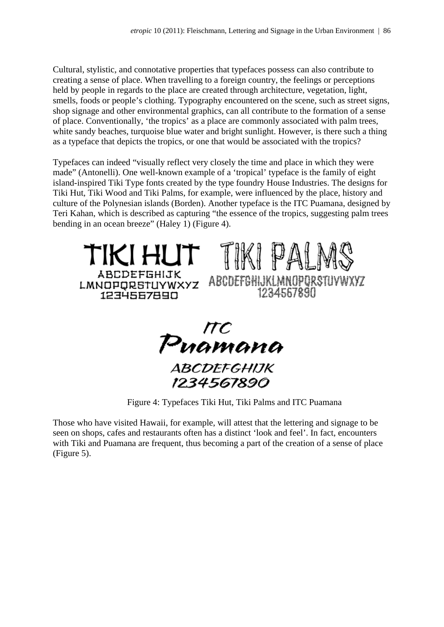Cultural, stylistic, and connotative properties that typefaces possess can also contribute to creating a sense of place. When travelling to a foreign country, the feelings or perceptions held by people in regards to the place are created through architecture, vegetation, light, smells, foods or people's clothing. Typography encountered on the scene, such as street signs, shop signage and other environmental graphics, can all contribute to the formation of a sense of place. Conventionally, 'the tropics' as a place are commonly associated with palm trees, white sandy beaches, turquoise blue water and bright sunlight. However, is there such a thing as a typeface that depicts the tropics, or one that would be associated with the tropics?

Typefaces can indeed "visually reflect very closely the time and place in which they were made" (Antonelli). One well-known example of a 'tropical' typeface is the family of eight island-inspired Tiki Type fonts created by the type foundry House Industries. The designs for Tiki Hut, Tiki Wood and Tiki Palms, for example, were influenced by the place, history and culture of the Polynesian islands (Borden). Another typeface is the ITC Puamana, designed by Teri Kahan, which is described as capturing "the essence of the tropics, suggesting palm trees bending in an ocean breeze" (Haley 1) (Figure 4).





Figure 4: Typefaces Tiki Hut, Tiki Palms and ITC Puamana

Those who have visited Hawaii, for example, will attest that the lettering and signage to be seen on shops, cafes and restaurants often has a distinct 'look and feel'. In fact, encounters with Tiki and Puamana are frequent, thus becoming a part of the creation of a sense of place (Figure 5).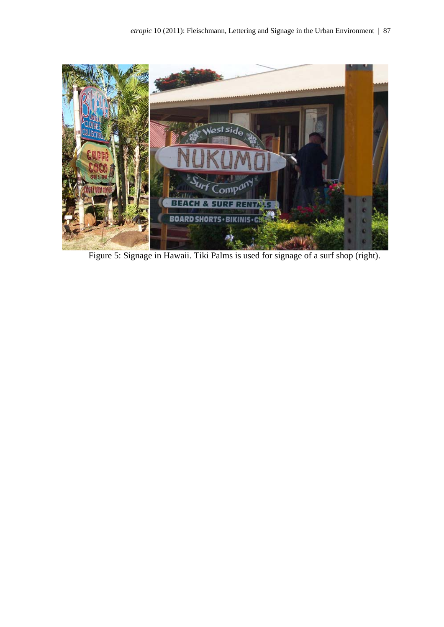

Figure 5: Signage in Hawaii. Tiki Palms is used for signage of a surf shop (right).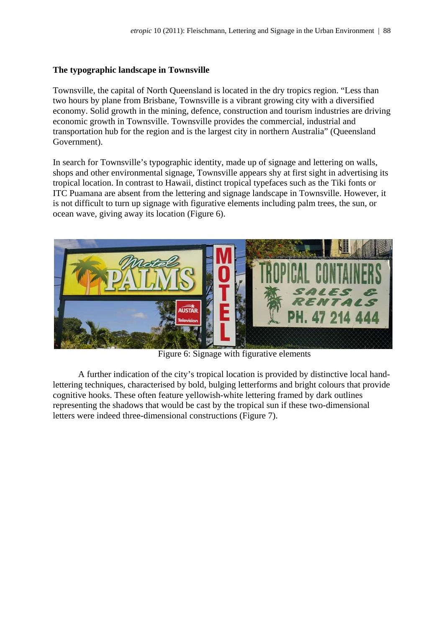### **The typographic landscape in Townsville**

Townsville, the capital of North Queensland is located in the dry tropics region. "Less than two hours by plane from Brisbane, Townsville is a vibrant growing city with a diversified economy. Solid growth in the mining, defence, construction and tourism industries are driving economic growth in Townsville. Townsville provides the commercial, industrial and transportation hub for the region and is the largest city in northern Australia" (Queensland Government).

In search for Townsville's typographic identity, made up of signage and lettering on walls, shops and other environmental signage, Townsville appears shy at first sight in advertising its tropical location. In contrast to Hawaii, distinct tropical typefaces such as the Tiki fonts or ITC Puamana are absent from the lettering and signage landscape in Townsville. However, it is not difficult to turn up signage with figurative elements including palm trees, the sun, or ocean wave, giving away its location (Figure 6).



Figure 6: Signage with figurative elements

A further indication of the city's tropical location is provided by distinctive local handlettering techniques, characterised by bold, bulging letterforms and bright colours that provide cognitive hooks. These often feature yellowish-white lettering framed by dark outlines representing the shadows that would be cast by the tropical sun if these two-dimensional letters were indeed three-dimensional constructions (Figure 7).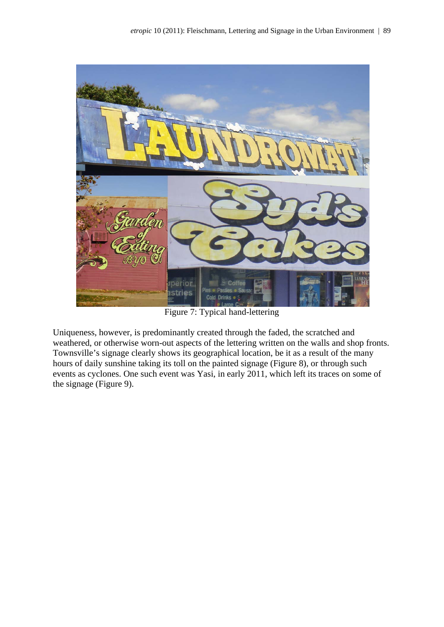

Figure 7: Typical hand-lettering

Uniqueness, however, is predominantly created through the faded, the scratched and weathered, or otherwise worn-out aspects of the lettering written on the walls and shop fronts. Townsville's signage clearly shows its geographical location, be it as a result of the many hours of daily sunshine taking its toll on the painted signage (Figure 8), or through such events as cyclones. One such event was Yasi, in early 2011, which left its traces on some of the signage (Figure 9).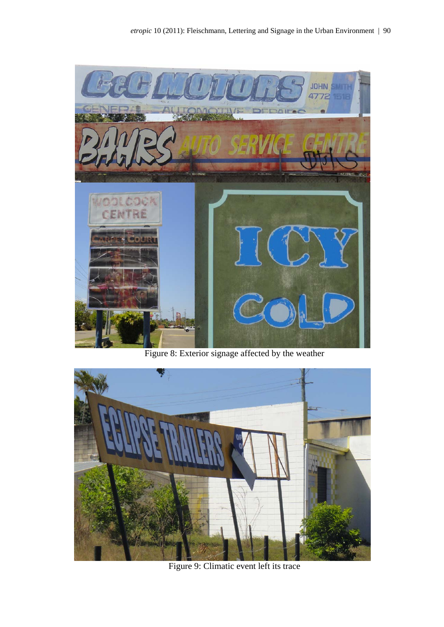

Figure 8: Exterior signage affected by the weather



Figure 9: Climatic event left its trace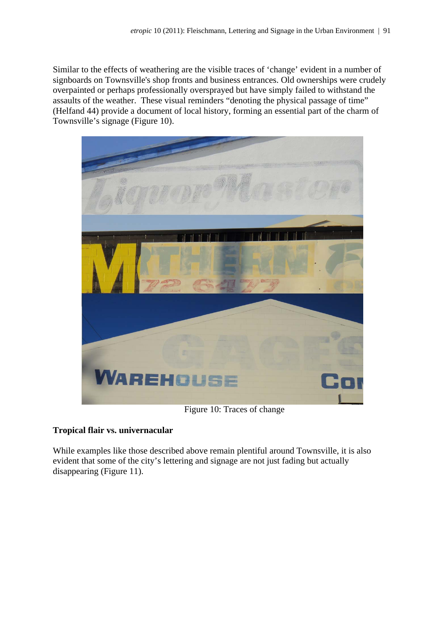Similar to the effects of weathering are the visible traces of 'change' evident in a number of signboards on Townsville's shop fronts and business entrances. Old ownerships were crudely overpainted or perhaps professionally oversprayed but have simply failed to withstand the assaults of the weather. These visual reminders "denoting the physical passage of time" (Helfand 44) provide a document of local history, forming an essential part of the charm of Townsville's signage (Figure 10).



Figure 10: Traces of change

## **Tropical flair vs. univernacular**

While examples like those described above remain plentiful around Townsville, it is also evident that some of the city's lettering and signage are not just fading but actually disappearing (Figure 11).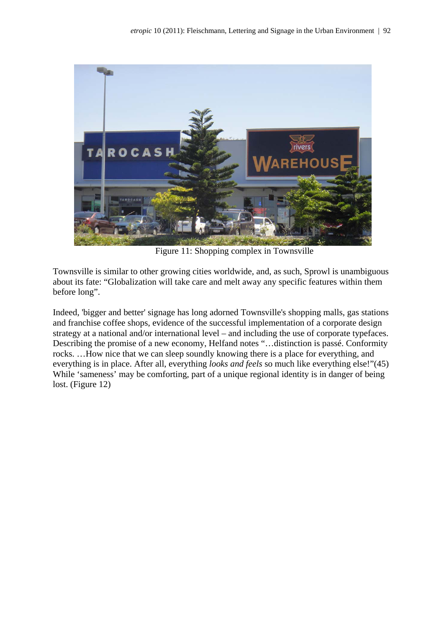

Figure 11: Shopping complex in Townsville

Townsville is similar to other growing cities worldwide, and, as such, Sprowl is unambiguous about its fate: "Globalization will take care and melt away any specific features within them before long".

Indeed, 'bigger and better' signage has long adorned Townsville's shopping malls, gas stations and franchise coffee shops, evidence of the successful implementation of a corporate design strategy at a national and/or international level – and including the use of corporate typefaces. Describing the promise of a new economy, Helfand notes "…distinction is passé. Conformity rocks. …How nice that we can sleep soundly knowing there is a place for everything, and everything is in place. After all, everything *looks and feels* so much like everything else!"(45) While 'sameness' may be comforting, part of a unique regional identity is in danger of being lost. (Figure 12)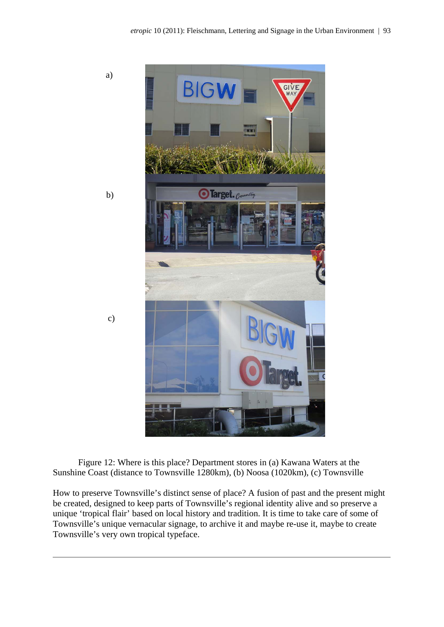

Figure 12: Where is this place? Department stores in (a) Kawana Waters at the Sunshine Coast (distance to Townsville 1280km), (b) Noosa (1020km), (c) Townsville

How to preserve Townsville's distinct sense of place? A fusion of past and the present might be created, designed to keep parts of Townsville's regional identity alive and so preserve a unique 'tropical flair' based on local history and tradition. It is time to take care of some of Townsville's unique vernacular signage, to archive it and maybe re-use it, maybe to create Townsville's very own tropical typeface.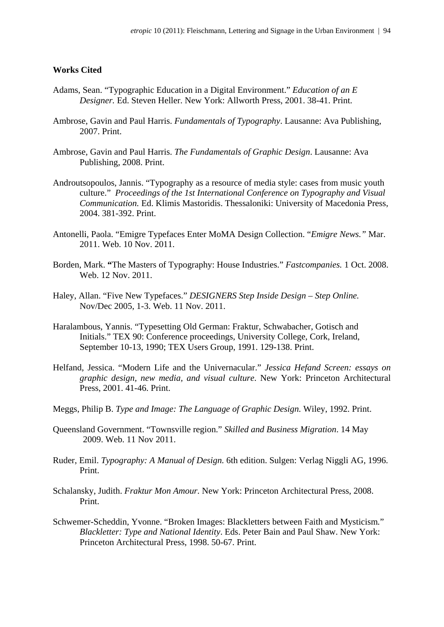#### **Works Cited**

- Adams, Sean. "Typographic Education in a Digital Environment." *Education of an E Designer.* Ed. Steven Heller. New York: Allworth Press, 2001. 38-41. Print.
- Ambrose, Gavin and Paul Harris. *Fundamentals of Typography*. Lausanne: Ava Publishing, 2007. Print.
- Ambrose, Gavin and Paul Harris. *The Fundamentals of Graphic Design*. Lausanne: Ava Publishing, 2008. Print.
- Androutsopoulos, Jannis. "Typography as a resource of media style: cases from music youth culture." *Proceedings of the 1st International Conference on Typography and Visual Communication.* Ed. Klimis Mastoridis. Thessaloniki: University of Macedonia Press, 2004. 381-392. Print.
- Antonelli, Paola. "Emigre Typefaces Enter MoMA Design Collection. "*Emigre News."* Mar. 2011. Web. 10 Nov. 2011.
- Borden, Mark. **"**The Masters of Typography: House Industries." *Fastcompanies.* 1 Oct. 2008. Web. 12 Nov. 2011.
- Haley, Allan. "Five New Typefaces." *DESIGNERS Step Inside Design Step Online.* Nov/Dec 2005, 1-3. Web. 11 Nov. 2011.
- Haralambous, Yannis. "Typesetting Old German: Fraktur, Schwabacher, Gotisch and Initials." TEX 90: Conference proceedings, University College, Cork, Ireland, September 10-13, 1990; TEX Users Group, 1991. 129-138. Print.
- Helfand, Jessica. "Modern Life and the Univernacular." *Jessica Hefand Screen: essays on graphic design, new media, and visual culture*. New York: Princeton Architectural Press, 2001. 41-46. Print.
- Meggs, Philip B. *Type and Image: The Language of Graphic Design.* Wiley, 1992. Print.
- Queensland Government. "Townsville region." *Skilled and Business Migration*. 14 May 2009. Web. 11 Nov 2011.
- Ruder, Emil. *Typography: A Manual of Design.* 6th edition. Sulgen: Verlag Niggli AG, 1996. Print.
- Schalansky, Judith. *Fraktur Mon Amour.* New York: Princeton Architectural Press, 2008. Print.
- Schwemer-Scheddin, Yvonne. "Broken Images: Blackletters between Faith and Mysticism*.*" *Blackletter: Type and National Identity*. Eds. Peter Bain and Paul Shaw. New York: Princeton Architectural Press, 1998. 50-67. Print.